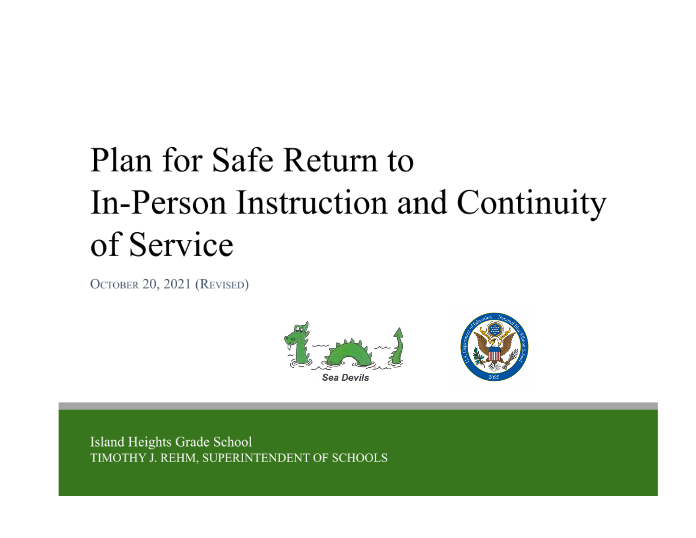# Plan for Safe Return to In-Person Instruction and Continuity of Service

OCTOBER 20, 2021 (REVISED)



Island Heights Grade School TIMOTHY J. REHM, SUPERINTENDENT OF SCHOOLS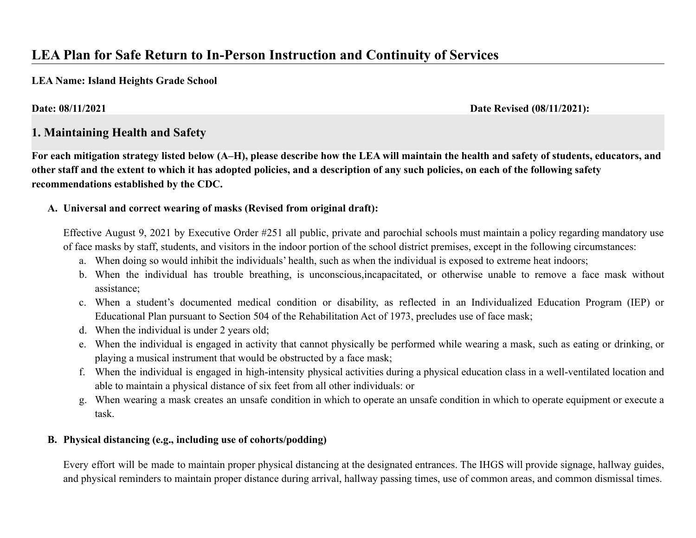# **LEA Plan for Safe Return to In-Person Instruction and Continuity of Services**

**LEA Name: Island Heights Grade School**

**Date: 08/11/2021 Date Revised (08/11/2021):**

# **1. Maintaining Health and Safety**

**For each mitigation strategy listed below (A–H), please describe how the LEA will maintain the health and safety of students, educators, and other staff and the extent to which it has adopted policies, and a description of any such policies, on each of the following safety recommendations established by the CDC.**

#### **A. Universal and correct wearing of masks (Revised from original draft):**

Effective August 9, 2021 by Executive Order #251 all public, private and parochial schools must maintain a policy regarding mandatory use of face masks by staff, students, and visitors in the indoor portion of the school district premises, except in the following circumstances:

- a. When doing so would inhibit the individuals' health, such as when the individual is exposed to extreme heat indoors;
- b. When the individual has trouble breathing, is unconscious,incapacitated, or otherwise unable to remove a face mask without assistance;
- c. When a student's documented medical condition or disability, as reflected in an Individualized Education Program (IEP) or Educational Plan pursuant to Section 504 of the Rehabilitation Act of 1973, precludes use of face mask;
- d. When the individual is under 2 years old;
- e. When the individual is engaged in activity that cannot physically be performed while wearing a mask, such as eating or drinking, or playing a musical instrument that would be obstructed by a face mask;
- f. When the individual is engaged in high-intensity physical activities during a physical education class in a well-ventilated location and able to maintain a physical distance of six feet from all other individuals: or
- g. When wearing a mask creates an unsafe condition in which to operate an unsafe condition in which to operate equipment or execute a task.

### **B. Physical distancing (e.g., including use of cohorts/podding)**

Every effort will be made to maintain proper physical distancing at the designated entrances. The IHGS will provide signage, hallway guides, and physical reminders to maintain proper distance during arrival, hallway passing times, use of common areas, and common dismissal times.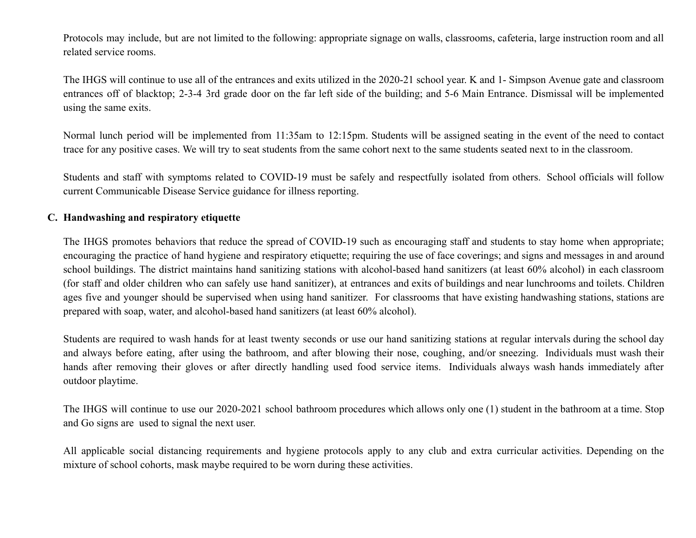Protocols may include, but are not limited to the following: appropriate signage on walls, classrooms, cafeteria, large instruction room and all related service rooms.

The IHGS will continue to use all of the entrances and exits utilized in the 2020-21 school year. K and 1- Simpson Avenue gate and classroom entrances off of blacktop; 2-3-4 3rd grade door on the far left side of the building; and 5-6 Main Entrance. Dismissal will be implemented using the same exits.

Normal lunch period will be implemented from 11:35am to 12:15pm. Students will be assigned seating in the event of the need to contact trace for any positive cases. We will try to seat students from the same cohort next to the same students seated next to in the classroom.

Students and staff with symptoms related to COVID-19 must be safely and respectfully isolated from others. School officials will follow current Communicable Disease Service guidance for illness reporting.

#### **C. Handwashing and respiratory etiquette**

The IHGS promotes behaviors that reduce the spread of COVID-19 such as encouraging staff and students to stay home when appropriate; encouraging the practice of hand hygiene and respiratory etiquette; requiring the use of face coverings; and signs and messages in and around school buildings. The district maintains hand sanitizing stations with alcohol-based hand sanitizers (at least 60% alcohol) in each classroom (for staff and older children who can safely use hand sanitizer), at entrances and exits of buildings and near lunchrooms and toilets. Children ages five and younger should be supervised when using hand sanitizer. For classrooms that have existing handwashing stations, stations are prepared with soap, water, and alcohol-based hand sanitizers (at least 60% alcohol).

Students are required to wash hands for at least twenty seconds or use our hand sanitizing stations at regular intervals during the school day and always before eating, after using the bathroom, and after blowing their nose, coughing, and/or sneezing. Individuals must wash their hands after removing their gloves or after directly handling used food service items. Individuals always wash hands immediately after outdoor playtime.

The IHGS will continue to use our 2020-2021 school bathroom procedures which allows only one (1) student in the bathroom at a time. Stop and Go signs are used to signal the next user.

All applicable social distancing requirements and hygiene protocols apply to any club and extra curricular activities. Depending on the mixture of school cohorts, mask maybe required to be worn during these activities.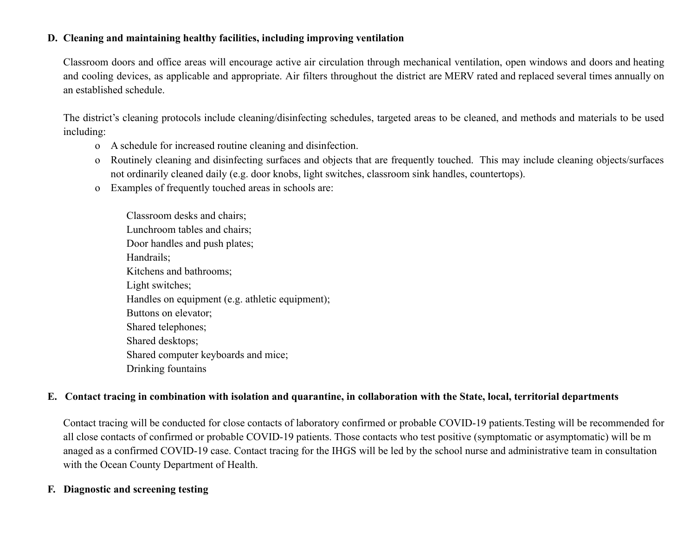#### **D. Cleaning and maintaining healthy facilities, including improving ventilation**

Classroom doors and office areas will encourage active air circulation through mechanical ventilation, open windows and doors and heating and cooling devices, as applicable and appropriate. Air filters throughout the district are MERV rated and replaced several times annually on an established schedule.

The district's cleaning protocols include cleaning/disinfecting schedules, targeted areas to be cleaned, and methods and materials to be used including:

- o A schedule for increased routine cleaning and disinfection.
- o Routinely cleaning and disinfecting surfaces and objects that are frequently touched. This may include cleaning objects/surfaces not ordinarily cleaned daily (e.g. door knobs, light switches, classroom sink handles, countertops).
- o Examples of frequently touched areas in schools are:

Classroom desks and chairs; Lunchroom tables and chairs; Door handles and push plates; Handrails; Kitchens and bathrooms; Light switches; Handles on equipment (e.g. athletic equipment); Buttons on elevator; Shared telephones; Shared desktops; Shared computer keyboards and mice; Drinking fountains

#### **E. Contact tracing in combination with isolation and quarantine, in collaboration with the State, local, territorial departments**

Contact tracing will be conducted for close contacts of laboratory confirmed or probable COVID-19 patients.Testing will be recommended for all close contacts of confirmed or probable COVID-19 patients. Those contacts who test positive (symptomatic or asymptomatic) will be m anaged as a confirmed COVID-19 case. Contact tracing for the IHGS will be led by the school nurse and administrative team in consultation with the Ocean County Department of Health.

#### **F. Diagnostic and screening testing**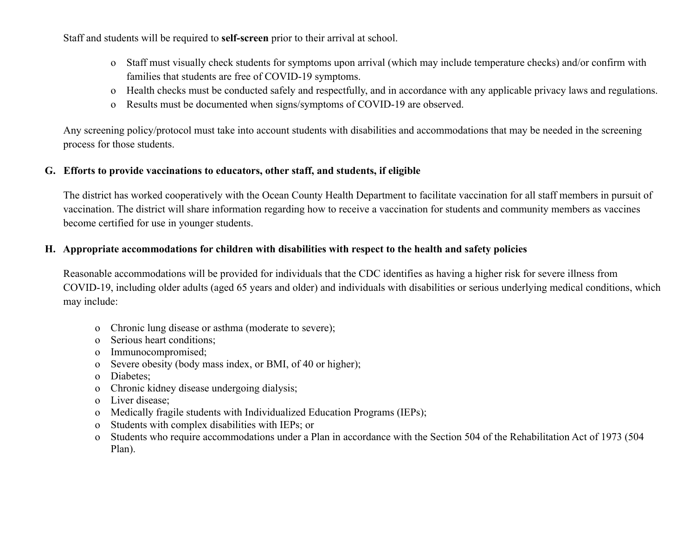Staff and students will be required to **self-screen** prior to their arrival at school.

- o Staff must visually check students for symptoms upon arrival (which may include temperature checks) and/or confirm with families that students are free of COVID-19 symptoms.
- o Health checks must be conducted safely and respectfully, and in accordance with any applicable privacy laws and regulations.
- o Results must be documented when signs/symptoms of COVID-19 are observed.

Any screening policy/protocol must take into account students with disabilities and accommodations that may be needed in the screening process for those students.

#### **G. Efforts to provide vaccinations to educators, other staff, and students, if eligible**

The district has worked cooperatively with the Ocean County Health Department to facilitate vaccination for all staff members in pursuit of vaccination. The district will share information regarding how to receive a vaccination for students and community members as vaccines become certified for use in younger students.

#### **H. Appropriate accommodations for children with disabilities with respect to the health and safety policies**

Reasonable accommodations will be provided for individuals that the CDC identifies as having a higher risk for severe illness from COVID-19, including older adults (aged 65 years and older) and individuals with disabilities or serious underlying medical conditions, which may include:

- o Chronic lung disease or asthma (moderate to severe);
- o Serious heart conditions;
- o Immunocompromised;
- o Severe obesity (body mass index, or BMI, of 40 or higher);
- o Diabetes;
- o Chronic kidney disease undergoing dialysis;
- o Liver disease;
- o Medically fragile students with Individualized Education Programs (IEPs);
- o Students with complex disabilities with IEPs; or
- o Students who require accommodations under a Plan in accordance with the Section 504 of the Rehabilitation Act of 1973 (504 Plan).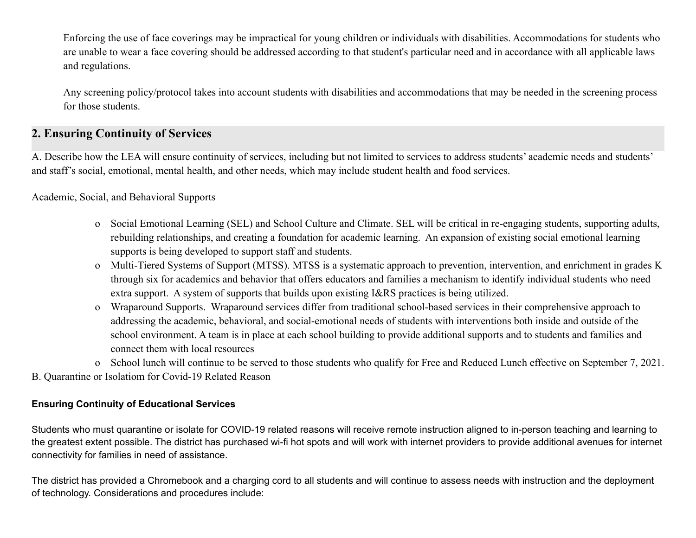Enforcing the use of face coverings may be impractical for young children or individuals with disabilities. Accommodations for students who are unable to wear a face covering should be addressed according to that student's particular need and in accordance with all applicable laws and regulations.

Any screening policy/protocol takes into account students with disabilities and accommodations that may be needed in the screening process for those students.

# **2. Ensuring Continuity of Services**

A. Describe how the LEA will ensure continuity of services, including but not limited to services to address students' academic needs and students' and staff's social, emotional, mental health, and other needs, which may include student health and food services.

#### Academic, Social, and Behavioral Supports

- o Social Emotional Learning (SEL) and School Culture and Climate. SEL will be critical in re-engaging students, supporting adults, rebuilding relationships, and creating a foundation for academic learning. An expansion of existing social emotional learning supports is being developed to support staff and students.
- o Multi-Tiered Systems of Support (MTSS). MTSS is a systematic approach to prevention, intervention, and enrichment in grades K through six for academics and behavior that offers educators and families a mechanism to identify individual students who need extra support. A system of supports that builds upon existing I&RS practices is being utilized.
- o Wraparound Supports. Wraparound services differ from traditional school-based services in their comprehensive approach to addressing the academic, behavioral, and social-emotional needs of students with interventions both inside and outside of the school environment. A team is in place at each school building to provide additional supports and to students and families and connect them with local resources
- o School lunch will continue to be served to those students who qualify for Free and Reduced Lunch effective on September 7, 2021.
- B. Quarantine or Isolatiom for Covid-19 Related Reason

#### **Ensuring Continuity of Educational Services**

Students who must quarantine or isolate for COVID-19 related reasons will receive remote instruction aligned to in-person teaching and learning to the greatest extent possible. The district has purchased wi-fi hot spots and will work with internet providers to provide additional avenues for internet connectivity for families in need of assistance.

The district has provided a Chromebook and a charging cord to all students and will continue to assess needs with instruction and the deployment of technology. Considerations and procedures include: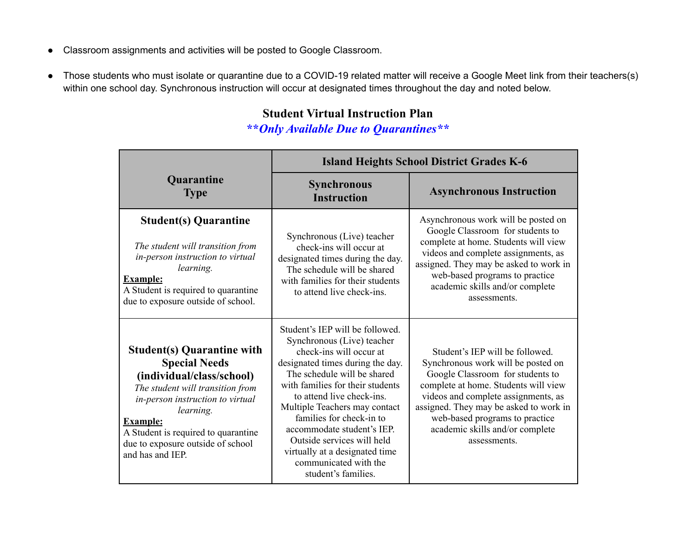- Classroom assignments and activities will be posted to Google Classroom.
- Those students who must isolate or quarantine due to a COVID-19 related matter will receive a Google Meet link from their teachers(s) within one school day. Synchronous instruction will occur at designated times throughout the day and noted below.

# **Student Virtual Instruction Plan**

**\*\****Only Available Due to Quarantines\*\**

|                                                                                                                                                                                                                                                                                                | <b>Island Heights School District Grades K-6</b>                                                                                                                                                                                                                                                                                                                                                                                        |                                                                                                                                                                                                                                                                                                                         |
|------------------------------------------------------------------------------------------------------------------------------------------------------------------------------------------------------------------------------------------------------------------------------------------------|-----------------------------------------------------------------------------------------------------------------------------------------------------------------------------------------------------------------------------------------------------------------------------------------------------------------------------------------------------------------------------------------------------------------------------------------|-------------------------------------------------------------------------------------------------------------------------------------------------------------------------------------------------------------------------------------------------------------------------------------------------------------------------|
| Quarantine<br><b>Type</b>                                                                                                                                                                                                                                                                      | <b>Synchronous</b><br><b>Instruction</b>                                                                                                                                                                                                                                                                                                                                                                                                | <b>Asynchronous Instruction</b>                                                                                                                                                                                                                                                                                         |
| <b>Student(s) Quarantine</b><br>The student will transition from<br>in-person instruction to virtual<br>learning.<br><b>Example:</b><br>A Student is required to quarantine<br>due to exposure outside of school.                                                                              | Synchronous (Live) teacher<br>check-ins will occur at<br>designated times during the day.<br>The schedule will be shared<br>with families for their students<br>to attend live check-ins.                                                                                                                                                                                                                                               | Asynchronous work will be posted on<br>Google Classroom for students to<br>complete at home. Students will view<br>videos and complete assignments, as<br>assigned. They may be asked to work in<br>web-based programs to practice<br>academic skills and/or complete<br>assessments.                                   |
| <b>Student(s) Quarantine with</b><br><b>Special Needs</b><br>(individual/class/school)<br>The student will transition from<br>in-person instruction to virtual<br>learning.<br><b>Example:</b><br>A Student is required to quarantine<br>due to exposure outside of school<br>and has and IEP. | Student's IEP will be followed.<br>Synchronous (Live) teacher<br>check-ins will occur at<br>designated times during the day.<br>The schedule will be shared<br>with families for their students<br>to attend live check-ins.<br>Multiple Teachers may contact<br>families for check-in to<br>accommodate student's IEP.<br>Outside services will held<br>virtually at a designated time<br>communicated with the<br>student's families. | Student's IEP will be followed.<br>Synchronous work will be posted on<br>Google Classroom for students to<br>complete at home. Students will view<br>videos and complete assignments, as<br>assigned. They may be asked to work in<br>web-based programs to practice<br>academic skills and/or complete<br>assessments. |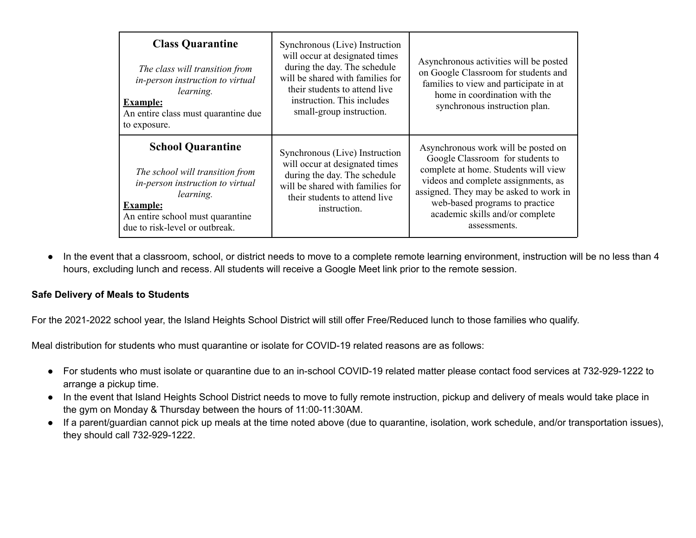| <b>Class Quarantine</b><br>The class will transition from<br>in-person instruction to virtual<br>learning.<br><b>Example:</b><br>An entire class must quarantine due<br>to exposure.                  | Synchronous (Live) Instruction<br>will occur at designated times<br>during the day. The schedule<br>will be shared with families for<br>their students to attend live<br>instruction. This includes<br>small-group instruction. | Asynchronous activities will be posted<br>on Google Classroom for students and<br>families to view and participate in at<br>home in coordination with the<br>synchronous instruction plan.                                                                                            |
|-------------------------------------------------------------------------------------------------------------------------------------------------------------------------------------------------------|---------------------------------------------------------------------------------------------------------------------------------------------------------------------------------------------------------------------------------|---------------------------------------------------------------------------------------------------------------------------------------------------------------------------------------------------------------------------------------------------------------------------------------|
| <b>School Quarantine</b><br>The school will transition from<br>in-person instruction to virtual<br>learning.<br><b>Example:</b><br>An entire school must quarantine<br>due to risk-level or outbreak. | Synchronous (Live) Instruction<br>will occur at designated times<br>during the day. The schedule<br>will be shared with families for<br>their students to attend live<br>instruction.                                           | Asynchronous work will be posted on<br>Google Classroom for students to<br>complete at home. Students will view<br>videos and complete assignments, as<br>assigned. They may be asked to work in<br>web-based programs to practice<br>academic skills and/or complete<br>assessments. |

● In the event that a classroom, school, or district needs to move to a complete remote learning environment, instruction will be no less than 4 hours, excluding lunch and recess. All students will receive a Google Meet link prior to the remote session.

#### **Safe Delivery of Meals to Students**

For the 2021-2022 school year, the Island Heights School District will still offer Free/Reduced lunch to those families who qualify.

Meal distribution for students who must quarantine or isolate for COVID-19 related reasons are as follows:

- For students who must isolate or quarantine due to an in-school COVID-19 related matter please contact food services at 732-929-1222 to arrange a pickup time.
- In the event that Island Heights School District needs to move to fully remote instruction, pickup and delivery of meals would take place in the gym on Monday & Thursday between the hours of 11:00-11:30AM.
- If a parent/guardian cannot pick up meals at the time noted above (due to quarantine, isolation, work schedule, and/or transportation issues), they should call 732-929-1222.